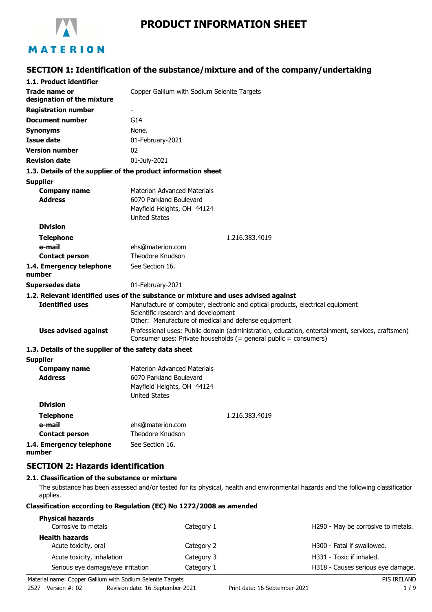

# **PRODUCT INFORMATION SHEET**

# **SECTION 1: Identification of the substance/mixture and of the company/undertaking**

| 1.1. Product identifier                               |                                                                                                                                                                              |
|-------------------------------------------------------|------------------------------------------------------------------------------------------------------------------------------------------------------------------------------|
| Trade name or<br>designation of the mixture           | Copper Gallium with Sodium Selenite Targets                                                                                                                                  |
| <b>Registration number</b>                            |                                                                                                                                                                              |
| <b>Document number</b>                                | G14                                                                                                                                                                          |
| <b>Synonyms</b>                                       | None.                                                                                                                                                                        |
| <b>Issue date</b>                                     | 01-February-2021                                                                                                                                                             |
| <b>Version number</b>                                 | 02                                                                                                                                                                           |
| <b>Revision date</b>                                  | 01-July-2021                                                                                                                                                                 |
|                                                       | 1.3. Details of the supplier of the product information sheet                                                                                                                |
| <b>Supplier</b>                                       |                                                                                                                                                                              |
| <b>Company name</b><br><b>Address</b>                 | <b>Materion Advanced Materials</b><br>6070 Parkland Boulevard<br>Mayfield Heights, OH 44124<br><b>United States</b>                                                          |
| <b>Division</b>                                       |                                                                                                                                                                              |
| <b>Telephone</b>                                      | 1.216.383.4019                                                                                                                                                               |
| e-mail                                                | ehs@materion.com                                                                                                                                                             |
| <b>Contact person</b>                                 | Theodore Knudson                                                                                                                                                             |
| 1.4. Emergency telephone<br>number                    | See Section 16.                                                                                                                                                              |
| <b>Supersedes date</b>                                | 01-February-2021                                                                                                                                                             |
|                                                       | 1.2. Relevant identified uses of the substance or mixture and uses advised against                                                                                           |
| <b>Identified uses</b>                                | Manufacture of computer, electronic and optical products, electrical equipment<br>Scientific research and development<br>Other: Manufacture of medical and defense equipment |
| <b>Uses advised against</b>                           | Professional uses: Public domain (administration, education, entertainment, services, craftsmen)<br>Consumer uses: Private households (= general public = consumers)         |
| 1.3. Details of the supplier of the safety data sheet |                                                                                                                                                                              |
| <b>Supplier</b>                                       |                                                                                                                                                                              |
| <b>Company name</b><br><b>Address</b>                 | <b>Materion Advanced Materials</b><br>6070 Parkland Boulevard<br>Mayfield Heights, OH 44124<br><b>United States</b>                                                          |
| <b>Division</b>                                       |                                                                                                                                                                              |
| <b>Telephone</b>                                      | 1.216.383.4019                                                                                                                                                               |
| e-mail                                                | ehs@materion.com                                                                                                                                                             |
| <b>Contact person</b>                                 | Theodore Knudson                                                                                                                                                             |
| 1.4. Emergency telephone<br>number                    | See Section 16.                                                                                                                                                              |

### **SECTION 2: Hazards identification**

#### **2.1. Classification of the substance or mixture**

The substance has been assessed and/or tested for its physical, health and environmental hazards and the following classification applies.

#### **Classification according to Regulation (EC) No 1272/2008 as amended**

| <b>Physical hazards</b>           |            |                                        |
|-----------------------------------|------------|----------------------------------------|
| Corrosive to metals               | Category 1 | H290 - May be corrosive to metals.     |
| <b>Health hazards</b>             |            |                                        |
| Acute toxicity, oral              | Category 2 | H <sub>300</sub> - Fatal if swallowed. |
| Acute toxicity, inhalation        | Category 3 | H331 - Toxic if inhaled.               |
| Serious eye damage/eye irritation | Category 1 | H318 - Causes serious eye damage.      |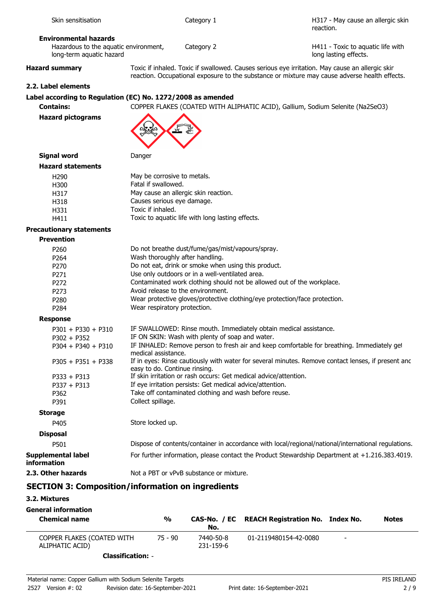| long-term aquatic hazard                 | long lasting effects.                                                                                                                                                                            |
|------------------------------------------|--------------------------------------------------------------------------------------------------------------------------------------------------------------------------------------------------|
| <b>Hazard summary</b>                    | Toxic if inhaled. Toxic if swallowed. Causes serious eye irritation. May cause an allergic skir<br>reaction. Occupational exposure to the substance or mixture may cause adverse health effects. |
| 2.2. Label elements                      |                                                                                                                                                                                                  |
|                                          | Label according to Regulation (EC) No. 1272/2008 as amended                                                                                                                                      |
| <b>Contains:</b>                         | COPPER FLAKES (COATED WITH ALIPHATIC ACID), Gallium, Sodium Selenite (Na2SeO3)                                                                                                                   |
| <b>Hazard pictograms</b>                 |                                                                                                                                                                                                  |
| <b>Signal word</b>                       | Danger                                                                                                                                                                                           |
| <b>Hazard statements</b>                 |                                                                                                                                                                                                  |
| H <sub>290</sub>                         | May be corrosive to metals.                                                                                                                                                                      |
| H300                                     | Fatal if swallowed.                                                                                                                                                                              |
| H317                                     | May cause an allergic skin reaction.                                                                                                                                                             |
| H318                                     | Causes serious eye damage.                                                                                                                                                                       |
| H331                                     | Toxic if inhaled.                                                                                                                                                                                |
| H411                                     | Toxic to aquatic life with long lasting effects.                                                                                                                                                 |
| <b>Precautionary statements</b>          |                                                                                                                                                                                                  |
| <b>Prevention</b>                        |                                                                                                                                                                                                  |
| P <sub>260</sub>                         | Do not breathe dust/fume/gas/mist/vapours/spray.                                                                                                                                                 |
| P264                                     | Wash thoroughly after handling.                                                                                                                                                                  |
| P <sub>270</sub>                         | Do not eat, drink or smoke when using this product.                                                                                                                                              |
| P271                                     | Use only outdoors or in a well-ventilated area.                                                                                                                                                  |
| P272                                     | Contaminated work clothing should not be allowed out of the workplace.<br>Avoid release to the environment.                                                                                      |
| P273                                     | Wear protective gloves/protective clothing/eye protection/face protection.                                                                                                                       |
| P280<br>P284                             | Wear respiratory protection.                                                                                                                                                                     |
| <b>Response</b>                          |                                                                                                                                                                                                  |
| $P301 + P330 + P310$                     | IF SWALLOWED: Rinse mouth. Immediately obtain medical assistance.                                                                                                                                |
| $P302 + P352$                            | IF ON SKIN: Wash with plenty of soap and water.                                                                                                                                                  |
| $P304 + P340 + P310$                     | IF INHALED: Remove person to fresh air and keep comfortable for breathing. Immediately get                                                                                                       |
|                                          | medical assistance.                                                                                                                                                                              |
| $P305 + P351 + P338$                     | If in eyes: Rinse cautiously with water for several minutes. Remove contact lenses, if present anc<br>easy to do. Continue rinsing.                                                              |
| $P333 + P313$                            | If skin irritation or rash occurs: Get medical advice/attention.                                                                                                                                 |
| $P337 + P313$                            | If eye irritation persists: Get medical advice/attention.                                                                                                                                        |
| P362                                     | Take off contaminated clothing and wash before reuse.<br>Collect spillage.                                                                                                                       |
| P391                                     |                                                                                                                                                                                                  |
| <b>Storage</b>                           |                                                                                                                                                                                                  |
| P405                                     | Store locked up.                                                                                                                                                                                 |
| <b>Disposal</b>                          |                                                                                                                                                                                                  |
| P501                                     | Dispose of contents/container in accordance with local/regional/national/international regulations.                                                                                              |
| <b>Supplemental label</b><br>information | For further information, please contact the Product Stewardship Department at +1.216.383.4019.                                                                                                   |
| 2.3. Other hazards                       | Not a PBT or vPvB substance or mixture.                                                                                                                                                          |
|                                          | <b>SECTION 3: Composition/information on ingredients</b>                                                                                                                                         |

# **3.2. Mixtures**

| <b>General information</b><br><b>Chemical name</b> | %         | No.                    | CAS-No. / EC REACH Registration No. Index No. |                          | <b>Notes</b> |
|----------------------------------------------------|-----------|------------------------|-----------------------------------------------|--------------------------|--------------|
| COPPER FLAKES (COATED WITH<br>ALIPHATIC ACID)      | $75 - 90$ | 7440-50-8<br>231-159-6 | 01-2119480154-42-0080                         | $\overline{\phantom{a}}$ |              |
| Claccification:                                    |           |                        |                                               |                          |              |

**Classification:** -

H317 - May cause an allergic skin reaction.

#### **Environmental hazards**

| Hazardous to the aquatic environment, |  |
|---------------------------------------|--|
| long-term aquatic hazard              |  |

Skin sensitisation and the category 1

Category 2

H411 - Toxic to aquatic life with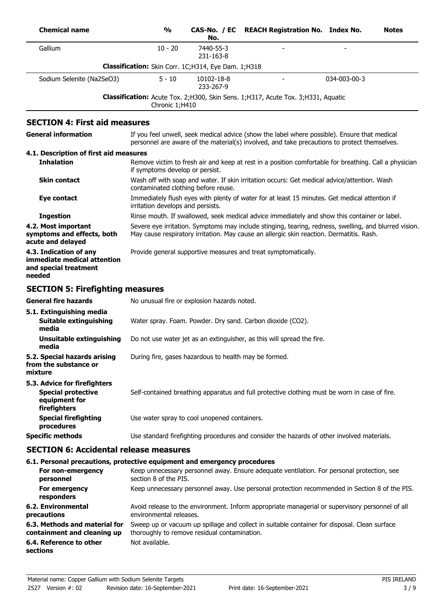| <b>Chemical name</b>                                                                       | $\frac{0}{0}$                                                  | CAS-No. / EC<br>No.     | <b>REACH Registration No. Index No.</b>                                                                                                                                                           |              | <b>Notes</b> |
|--------------------------------------------------------------------------------------------|----------------------------------------------------------------|-------------------------|---------------------------------------------------------------------------------------------------------------------------------------------------------------------------------------------------|--------------|--------------|
| Gallium                                                                                    | $10 - 20$                                                      | 7440-55-3<br>231-163-8  |                                                                                                                                                                                                   |              |              |
|                                                                                            | Classification: Skin Corr. 1C;H314, Eye Dam. 1;H318            |                         |                                                                                                                                                                                                   |              |              |
| Sodium Selenite (Na2SeO3)                                                                  | $5 - 10$                                                       | 10102-18-8<br>233-267-9 |                                                                                                                                                                                                   | 034-003-00-3 |              |
|                                                                                            | Chronic 1;H410                                                 |                         | Classification: Acute Tox. 2; H300, Skin Sens. 1; H317, Acute Tox. 3; H331, Aquatic                                                                                                               |              |              |
| <b>SECTION 4: First aid measures</b>                                                       |                                                                |                         |                                                                                                                                                                                                   |              |              |
| <b>General information</b>                                                                 |                                                                |                         | If you feel unwell, seek medical advice (show the label where possible). Ensure that medical<br>personnel are aware of the material(s) involved, and take precautions to protect themselves.      |              |              |
| 4.1. Description of first aid measures                                                     |                                                                |                         |                                                                                                                                                                                                   |              |              |
| <b>Inhalation</b>                                                                          | if symptoms develop or persist.                                |                         | Remove victim to fresh air and keep at rest in a position comfortable for breathing. Call a physician                                                                                             |              |              |
| <b>Skin contact</b>                                                                        | contaminated clothing before reuse.                            |                         | Wash off with soap and water. If skin irritation occurs: Get medical advice/attention. Wash                                                                                                       |              |              |
| Eye contact                                                                                | irritation develops and persists.                              |                         | Immediately flush eyes with plenty of water for at least 15 minutes. Get medical attention if                                                                                                     |              |              |
| <b>Ingestion</b>                                                                           |                                                                |                         | Rinse mouth. If swallowed, seek medical advice immediately and show this container or label.                                                                                                      |              |              |
| 4.2. Most important<br>symptoms and effects, both<br>acute and delayed                     |                                                                |                         | Severe eye irritation. Symptoms may include stinging, tearing, redness, swelling, and blurred vision.<br>May cause respiratory irritation. May cause an allergic skin reaction. Dermatitis. Rash. |              |              |
| 4.3. Indication of any<br>immediate medical attention<br>and special treatment<br>needed   | Provide general supportive measures and treat symptomatically. |                         |                                                                                                                                                                                                   |              |              |
| <b>SECTION 5: Firefighting measures</b>                                                    |                                                                |                         |                                                                                                                                                                                                   |              |              |
| <b>General fire hazards</b>                                                                | No unusual fire or explosion hazards noted.                    |                         |                                                                                                                                                                                                   |              |              |
| 5.1. Extinguishing media<br>Suitable extinguishing<br>media                                | Water spray. Foam. Powder. Dry sand. Carbon dioxide (CO2).     |                         |                                                                                                                                                                                                   |              |              |
| <b>Unsuitable extinguishing</b><br>media                                                   |                                                                |                         | Do not use water jet as an extinguisher, as this will spread the fire.                                                                                                                            |              |              |
| 5.2. Special hazards arising<br>from the substance or<br>mixture                           | During fire, gases hazardous to health may be formed.          |                         |                                                                                                                                                                                                   |              |              |
| 5.3. Advice for firefighters<br><b>Special protective</b><br>equipment for<br>firefighters |                                                                |                         | Self-contained breathing apparatus and full protective clothing must be worn in case of fire.                                                                                                     |              |              |
| <b>Special firefighting</b><br>procedures                                                  | Use water spray to cool unopened containers.                   |                         |                                                                                                                                                                                                   |              |              |
| <b>Specific methods</b>                                                                    |                                                                |                         | Use standard firefighting procedures and consider the hazards of other involved materials.                                                                                                        |              |              |
| <b>SECTION 6: Accidental release measures</b>                                              |                                                                |                         |                                                                                                                                                                                                   |              |              |
| 6.1. Personal precautions, protective equipment and emergency procedures                   |                                                                |                         |                                                                                                                                                                                                   |              |              |
| For non-emergency<br>personnel                                                             | section 8 of the PIS.                                          |                         | Keep unnecessary personnel away. Ensure adequate ventilation. For personal protection, see                                                                                                        |              |              |
| For emergency<br>responders                                                                |                                                                |                         | Keep unnecessary personnel away. Use personal protection recommended in Section 8 of the PIS.                                                                                                     |              |              |
| 6.2. Environmental<br>precautions                                                          | environmental releases.                                        |                         | Avoid release to the environment. Inform appropriate managerial or supervisory personnel of all                                                                                                   |              |              |
| 6.3. Methods and material for<br>containment and cleaning up                               | thoroughly to remove residual contamination.                   |                         | Sweep up or vacuum up spillage and collect in suitable container for disposal. Clean surface                                                                                                      |              |              |
| 6.4. Reference to other<br>sections                                                        | Not available.                                                 |                         |                                                                                                                                                                                                   |              |              |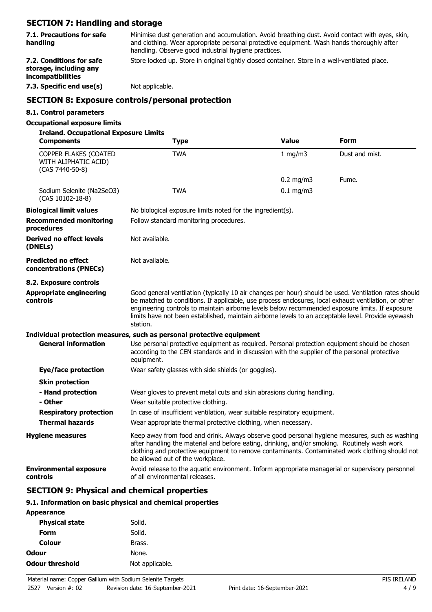## **SECTION 7: Handling and storage**

| 7.1. Precautions for safe | Minimise dust generation and accumulation. Avoid breathing dust. Avoid contact with eyes, skin, |
|---------------------------|-------------------------------------------------------------------------------------------------|
| handling                  | and clothing. Wear appropriate personal protective equipment. Wash hands thoroughly after       |
|                           | handling. Observe good industrial hygiene practices.                                            |

**storage, including any incompatibilities**

**7.2. Conditions for safe** Store locked up. Store in original tightly closed container. Store in a well-ventilated place.

**7.3. Specific end use(s)** Not applicable.

### **SECTION 8: Exposure controls/personal protection**

### **8.1. Control parameters**

### **Occupational exposure limits**

| <b>Ireland. Occupational Exposure Limits</b><br><b>Components</b> | Type                                                                                                                                                                                                                                                                                                                                                                                                                               | <b>Value</b> | Form           |
|-------------------------------------------------------------------|------------------------------------------------------------------------------------------------------------------------------------------------------------------------------------------------------------------------------------------------------------------------------------------------------------------------------------------------------------------------------------------------------------------------------------|--------------|----------------|
| COPPER FLAKES (COATED<br>WITH ALIPHATIC ACID)<br>(CAS 7440-50-8)  | <b>TWA</b>                                                                                                                                                                                                                                                                                                                                                                                                                         | 1 mg/m3      | Dust and mist. |
|                                                                   |                                                                                                                                                                                                                                                                                                                                                                                                                                    | $0.2$ mg/m3  | Fume.          |
| Sodium Selenite (Na2SeO3)<br>(CAS 10102-18-8)                     | <b>TWA</b>                                                                                                                                                                                                                                                                                                                                                                                                                         | $0.1$ mg/m3  |                |
| <b>Biological limit values</b>                                    | No biological exposure limits noted for the ingredient(s).                                                                                                                                                                                                                                                                                                                                                                         |              |                |
| <b>Recommended monitoring</b><br>procedures                       | Follow standard monitoring procedures.                                                                                                                                                                                                                                                                                                                                                                                             |              |                |
| <b>Derived no effect levels</b><br>(DNELs)                        | Not available.                                                                                                                                                                                                                                                                                                                                                                                                                     |              |                |
| <b>Predicted no effect</b><br>concentrations (PNECs)              | Not available.                                                                                                                                                                                                                                                                                                                                                                                                                     |              |                |
| 8.2. Exposure controls                                            |                                                                                                                                                                                                                                                                                                                                                                                                                                    |              |                |
| <b>Appropriate engineering</b><br>controls                        | Good general ventilation (typically 10 air changes per hour) should be used. Ventilation rates should<br>be matched to conditions. If applicable, use process enclosures, local exhaust ventilation, or other<br>engineering controls to maintain airborne levels below recommended exposure limits. If exposure<br>limits have not been established, maintain airborne levels to an acceptable level. Provide eyewash<br>station. |              |                |
|                                                                   | Individual protection measures, such as personal protective equipment                                                                                                                                                                                                                                                                                                                                                              |              |                |
| <b>General information</b>                                        | Use personal protective equipment as required. Personal protection equipment should be chosen<br>according to the CEN standards and in discussion with the supplier of the personal protective<br>equipment.                                                                                                                                                                                                                       |              |                |
| <b>Eye/face protection</b>                                        | Wear safety glasses with side shields (or goggles).                                                                                                                                                                                                                                                                                                                                                                                |              |                |
| <b>Skin protection</b>                                            |                                                                                                                                                                                                                                                                                                                                                                                                                                    |              |                |
| - Hand protection                                                 | Wear gloves to prevent metal cuts and skin abrasions during handling.                                                                                                                                                                                                                                                                                                                                                              |              |                |
| - Other                                                           | Wear suitable protective clothing.                                                                                                                                                                                                                                                                                                                                                                                                 |              |                |
| <b>Respiratory protection</b>                                     | In case of insufficient ventilation, wear suitable respiratory equipment.                                                                                                                                                                                                                                                                                                                                                          |              |                |
| <b>Thermal hazards</b>                                            | Wear appropriate thermal protective clothing, when necessary.                                                                                                                                                                                                                                                                                                                                                                      |              |                |
| <b>Hygiene measures</b>                                           | Keep away from food and drink. Always observe good personal hygiene measures, such as washing<br>after handling the material and before eating, drinking, and/or smoking. Routinely wash work<br>clothing and protective equipment to remove contaminants. Contaminated work clothing should not<br>be allowed out of the workplace.                                                                                               |              |                |
| <b>Environmental exposure</b><br>controls                         | Avoid release to the aquatic environment. Inform appropriate managerial or supervisory personnel<br>of all environmental releases.                                                                                                                                                                                                                                                                                                 |              |                |

### **SECTION 9: Physical and chemical properties**

#### **9.1. Information on basic physical and chemical properties**

| <b>Appearance</b>      |                 |
|------------------------|-----------------|
| <b>Physical state</b>  | Solid.          |
| Form                   | Solid.          |
| Colour                 | Brass.          |
| Odour                  | None.           |
| <b>Odour threshold</b> | Not applicable. |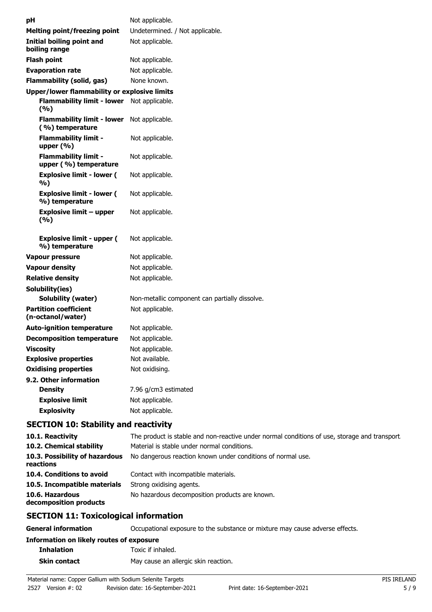| рH                                                   | Not applicable.                                |
|------------------------------------------------------|------------------------------------------------|
| <b>Melting point/freezing point</b>                  | Undetermined. / Not applicable.                |
| <b>Initial boiling point and</b><br>boiling range    | Not applicable.                                |
| <b>Flash point</b>                                   | Not applicable.                                |
| <b>Evaporation rate</b>                              | Not applicable.                                |
| <b>Flammability (solid, gas)</b>                     | None known.                                    |
| Upper/lower flammability or explosive limits         |                                                |
| <b>Flammability limit - lower</b><br>(9/6)           | Not applicable.                                |
| <b>Flammability limit - lower</b><br>(%) temperature | Not applicable.                                |
| <b>Flammability limit -</b><br>upper $(\% )$         | Not applicable.                                |
| <b>Flammability limit -</b><br>upper (%) temperature | Not applicable.                                |
| <b>Explosive limit - lower (</b><br>%)               | Not applicable.                                |
| <b>Explosive limit - lower (</b><br>%) temperature   | Not applicable.                                |
| <b>Explosive limit - upper</b><br>(%)                | Not applicable.                                |
| <b>Explosive limit - upper (</b><br>%) temperature   | Not applicable.                                |
| Vapour pressure                                      | Not applicable.                                |
| <b>Vapour density</b>                                | Not applicable.                                |
| <b>Relative density</b>                              | Not applicable.                                |
| Solubility(ies)                                      |                                                |
| <b>Solubility (water)</b>                            | Non-metallic component can partially dissolve. |
| <b>Partition coefficient</b><br>(n-octanol/water)    | Not applicable.                                |
| <b>Auto-ignition temperature</b>                     | Not applicable.                                |
| <b>Decomposition temperature</b>                     | Not applicable.                                |
| <b>Viscosity</b>                                     | Not applicable.                                |
| <b>Explosive properties</b>                          | Not available.                                 |
| <b>Oxidising properties</b>                          | Not oxidising.                                 |
| 9.2. Other information                               |                                                |
| <b>Density</b>                                       | 7.96 g/cm3 estimated                           |
| <b>Explosive limit</b>                               | Not applicable.                                |
| <b>Explosivity</b>                                   | Not applicable.                                |
|                                                      |                                                |

# **SECTION 10: Stability and reactivity**

| 10.1. Reactivity                            | The product is stable and non-reactive under normal conditions of use, storage and transport. |
|---------------------------------------------|-----------------------------------------------------------------------------------------------|
| 10.2. Chemical stability                    | Material is stable under normal conditions.                                                   |
| 10.3. Possibility of hazardous<br>reactions | No dangerous reaction known under conditions of normal use.                                   |
| 10.4. Conditions to avoid                   | Contact with incompatible materials.                                                          |
| 10.5. Incompatible materials                | Strong oxidising agents.                                                                      |
| 10.6. Hazardous<br>decomposition products   | No hazardous decomposition products are known.                                                |
|                                             |                                                                                               |

# **SECTION 11: Toxicological information**

| General information                      | Occupational exposure to the substance or mixture may cause adverse effects. |
|------------------------------------------|------------------------------------------------------------------------------|
| Information on likely routes of exposure |                                                                              |
| <b>Inhalation</b>                        | Toxic if inhaled.                                                            |
| <b>Skin contact</b>                      | May cause an allergic skin reaction.                                         |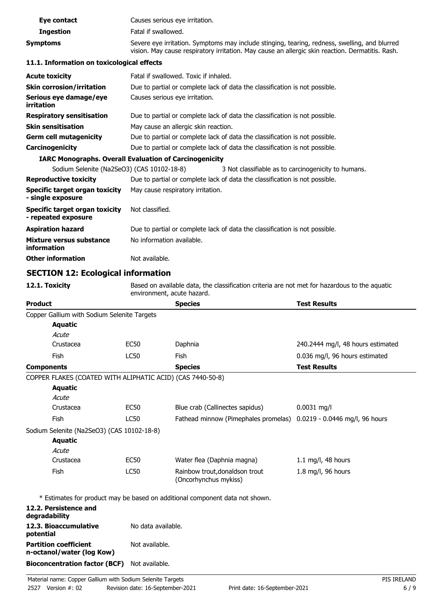| Eye contact                                                        | Causes serious eye irritation.       |                                                                                                                                                                                                   |                                                                                               |
|--------------------------------------------------------------------|--------------------------------------|---------------------------------------------------------------------------------------------------------------------------------------------------------------------------------------------------|-----------------------------------------------------------------------------------------------|
| <b>Ingestion</b>                                                   | Fatal if swallowed.                  |                                                                                                                                                                                                   |                                                                                               |
| <b>Symptoms</b>                                                    |                                      | Severe eye irritation. Symptoms may include stinging, tearing, redness, swelling, and blurred<br>vision. May cause respiratory irritation. May cause an allergic skin reaction. Dermatitis. Rash. |                                                                                               |
| 11.1. Information on toxicological effects                         |                                      |                                                                                                                                                                                                   |                                                                                               |
| <b>Acute toxicity</b>                                              |                                      | Fatal if swallowed. Toxic if inhaled.                                                                                                                                                             |                                                                                               |
| <b>Skin corrosion/irritation</b>                                   |                                      | Due to partial or complete lack of data the classification is not possible.                                                                                                                       |                                                                                               |
| Serious eye damage/eye<br>irritation                               |                                      | Causes serious eye irritation.                                                                                                                                                                    |                                                                                               |
| <b>Respiratory sensitisation</b>                                   |                                      | Due to partial or complete lack of data the classification is not possible.                                                                                                                       |                                                                                               |
| <b>Skin sensitisation</b>                                          | May cause an allergic skin reaction. |                                                                                                                                                                                                   |                                                                                               |
| <b>Germ cell mutagenicity</b>                                      |                                      | Due to partial or complete lack of data the classification is not possible.                                                                                                                       |                                                                                               |
| Carcinogenicity                                                    |                                      | Due to partial or complete lack of data the classification is not possible.                                                                                                                       |                                                                                               |
| <b>IARC Monographs. Overall Evaluation of Carcinogenicity</b>      |                                      |                                                                                                                                                                                                   |                                                                                               |
| Sodium Selenite (Na2SeO3) (CAS 10102-18-8)                         |                                      | 3 Not classifiable as to carcinogenicity to humans.                                                                                                                                               |                                                                                               |
| <b>Reproductive toxicity</b>                                       |                                      | Due to partial or complete lack of data the classification is not possible.                                                                                                                       |                                                                                               |
| Specific target organ toxicity<br>- single exposure                |                                      | May cause respiratory irritation.                                                                                                                                                                 |                                                                                               |
| <b>Specific target organ toxicity</b><br>- repeated exposure       | Not classified.                      |                                                                                                                                                                                                   |                                                                                               |
| <b>Aspiration hazard</b>                                           |                                      | Due to partial or complete lack of data the classification is not possible.                                                                                                                       |                                                                                               |
| <b>Mixture versus substance</b><br>information                     | No information available.            |                                                                                                                                                                                                   |                                                                                               |
| <b>Other information</b>                                           | Not available.                       |                                                                                                                                                                                                   |                                                                                               |
| <b>SECTION 12: Ecological information</b>                          |                                      |                                                                                                                                                                                                   |                                                                                               |
| 12.1. Toxicity                                                     |                                      |                                                                                                                                                                                                   |                                                                                               |
|                                                                    | environment, acute hazard.           |                                                                                                                                                                                                   | Based on available data, the classification criteria are not met for hazardous to the aquatic |
| Product                                                            |                                      | <b>Species</b>                                                                                                                                                                                    | <b>Test Results</b>                                                                           |
| Copper Gallium with Sodium Selenite Targets                        |                                      |                                                                                                                                                                                                   |                                                                                               |
| <b>Aquatic</b>                                                     |                                      |                                                                                                                                                                                                   |                                                                                               |
| Acute                                                              |                                      |                                                                                                                                                                                                   |                                                                                               |
| Crustacea                                                          | <b>EC50</b>                          | Daphnia                                                                                                                                                                                           | 240.2444 mg/l, 48 hours estimated                                                             |
| Fish                                                               | LC50                                 | Fish                                                                                                                                                                                              | 0.036 mg/l, 96 hours estimated                                                                |
| <b>Components</b>                                                  |                                      | <b>Species</b>                                                                                                                                                                                    | <b>Test Results</b>                                                                           |
| COPPER FLAKES (COATED WITH ALIPHATIC ACID) (CAS 7440-50-8)         |                                      |                                                                                                                                                                                                   |                                                                                               |
| <b>Aquatic</b>                                                     |                                      |                                                                                                                                                                                                   |                                                                                               |
| Acute                                                              |                                      |                                                                                                                                                                                                   |                                                                                               |
| Crustacea                                                          | EC50                                 | Blue crab (Callinectes sapidus)                                                                                                                                                                   | $0.0031$ mg/l                                                                                 |
| Fish                                                               | <b>LC50</b>                          | Fathead minnow (Pimephales promelas)                                                                                                                                                              | 0.0219 - 0.0446 mg/l, 96 hours                                                                |
| Sodium Selenite (Na2SeO3) (CAS 10102-18-8)<br><b>Aquatic</b>       |                                      |                                                                                                                                                                                                   |                                                                                               |
| Acute<br>Crustacea                                                 | <b>EC50</b>                          |                                                                                                                                                                                                   |                                                                                               |
| Fish                                                               | <b>LC50</b>                          | Water flea (Daphnia magna)<br>Rainbow trout, donaldson trout                                                                                                                                      | 1.1 mg/l, 48 hours<br>1.8 mg/l, 96 hours                                                      |
|                                                                    |                                      | (Oncorhynchus mykiss)                                                                                                                                                                             |                                                                                               |
|                                                                    |                                      | * Estimates for product may be based on additional component data not shown.                                                                                                                      |                                                                                               |
| 12.2. Persistence and<br>degradability                             |                                      |                                                                                                                                                                                                   |                                                                                               |
| 12.3. Bioaccumulative<br>potential<br><b>Partition coefficient</b> | No data available.                   |                                                                                                                                                                                                   |                                                                                               |

**Bioconcentration factor (BCF)** Not available.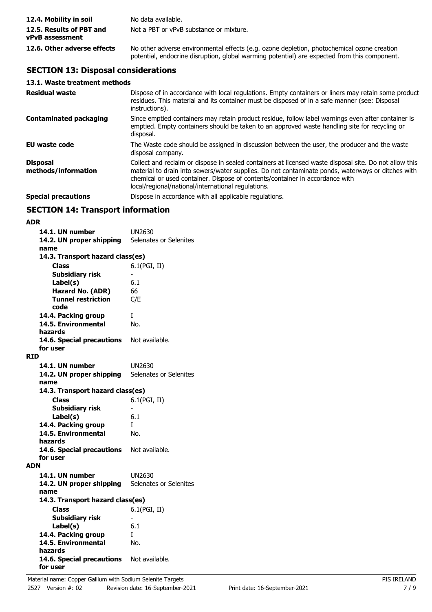| 12.4. Mobility in soil                             | No data available.                                                                                                                                                                         |
|----------------------------------------------------|--------------------------------------------------------------------------------------------------------------------------------------------------------------------------------------------|
| 12.5. Results of PBT and<br><b>vPvB</b> assessment | Not a PBT or vPvB substance or mixture.                                                                                                                                                    |
| 12.6. Other adverse effects                        | No other adverse environmental effects (e.g. ozone depletion, photochemical ozone creation<br>potential, endocrine disruption, global warming potential) are expected from this component. |

# **SECTION 13: Disposal considerations**

|  |  |  | 13.1. Waste treatment methods |  |
|--|--|--|-------------------------------|--|
|--|--|--|-------------------------------|--|

| <b>Residual waste</b>                  | Dispose of in accordance with local regulations. Empty containers or liners may retain some product<br>residues. This material and its container must be disposed of in a safe manner (see: Disposal<br>instructions).                                                                                                                            |
|----------------------------------------|---------------------------------------------------------------------------------------------------------------------------------------------------------------------------------------------------------------------------------------------------------------------------------------------------------------------------------------------------|
| <b>Contaminated packaging</b>          | Since emptied containers may retain product residue, follow label warnings even after container is<br>emptied. Empty containers should be taken to an approved waste handling site for recycling or<br>disposal.                                                                                                                                  |
| EU waste code                          | The Waste code should be assigned in discussion between the user, the producer and the waste<br>disposal company.                                                                                                                                                                                                                                 |
| <b>Disposal</b><br>methods/information | Collect and reclaim or dispose in sealed containers at licensed waste disposal site. Do not allow this<br>material to drain into sewers/water supplies. Do not contaminate ponds, waterways or ditches with<br>chemical or used container. Dispose of contents/container in accordance with<br>local/regional/national/international regulations. |
| <b>Special precautions</b>             | Dispose in accordance with all applicable regulations.                                                                                                                                                                                                                                                                                            |

## **SECTION 14: Transport information**

| ۰. |  |
|----|--|

| 14.1. UN number                          | UN2630                 |
|------------------------------------------|------------------------|
| 14.2. UN proper shipping                 | Selenates or Selenites |
| name<br>14.3. Transport hazard class(es) |                        |
| <b>Class</b>                             | 6.1(PGI, II)           |
| <b>Subsidiary risk</b>                   |                        |
| Label(s)                                 | 6.1                    |
| Hazard No. (ADR)                         | 66                     |
| <b>Tunnel restriction</b>                | C/E                    |
| code                                     |                        |
| 14.4. Packing group                      | T                      |
| 14.5. Environmental                      | No.                    |
| hazards                                  |                        |
| 14.6. Special precautions                | Not available.         |
| for user                                 |                        |
| <b>RID</b>                               |                        |
| 14.1. UN number                          | UN2630                 |
| 14.2. UN proper shipping<br>name         | Selenates or Selenites |
| 14.3. Transport hazard class(es)         |                        |
| Class                                    | 6.1(PGI, II)           |
| <b>Subsidiary risk</b>                   |                        |
| Label(s)                                 | 6.1                    |
| 14.4. Packing group                      | L                      |
| 14.5. Environmental                      | No.                    |
| hazards                                  |                        |
| 14.6. Special precautions                | Not available.         |
| for user                                 |                        |
| ADN                                      |                        |
| 14.1. UN number                          | UN2630                 |
| 14.2. UN proper shipping                 | Selenates or Selenites |
| name                                     |                        |
| 14.3. Transport hazard class(es)         |                        |
| <b>Class</b>                             | 6.1(PGI, II)           |
| <b>Subsidiary risk</b>                   |                        |
| Label(s)                                 | 6.1                    |
| 14.4. Packing group                      | L                      |
| 14.5. Environmental<br>hazards           | No.                    |
| 14.6. Special precautions Not available. |                        |
| for user                                 |                        |
|                                          |                        |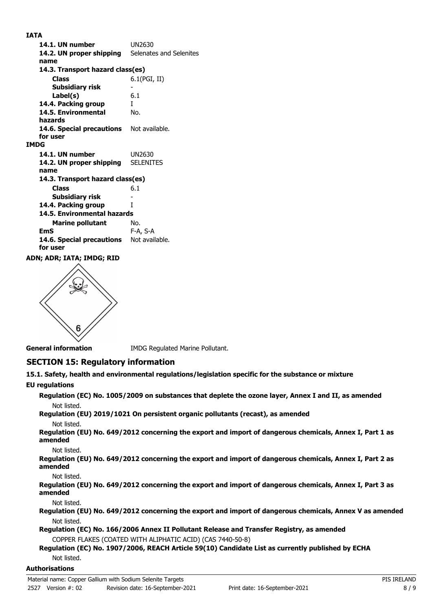**IATA**

| 14.1. UN number                                 | UN2630                  |
|-------------------------------------------------|-------------------------|
| 14.2. UN proper shipping                        | Selenates and Selenites |
| name                                            |                         |
| 14.3. Transport hazard class(es)                |                         |
| <b>Class</b>                                    | 6.1(PGI, II)            |
| <b>Subsidiary risk</b>                          |                         |
| Label(s)                                        | 6.1                     |
| 14.4. Packing group                             | L                       |
| 14.5. Environmental                             | No.                     |
| hazards                                         |                         |
| <b>14.6. Special precautions</b> Not available. |                         |
| for user                                        |                         |
| <b>IMDG</b>                                     |                         |
| 14.1. UN number                                 | UN2630                  |
| 14.2. UN proper shipping                        | <b>SELENITES</b>        |
| name                                            |                         |
| 14.3. Transport hazard class(es)                |                         |
| <b>Class</b>                                    | 6.1                     |
| Subsidiary risk                                 |                         |
| 14.4. Packing group                             | T                       |
| 14.5. Environmental hazards                     |                         |
| <b>Marine pollutant</b>                         | No.                     |
| EmS                                             | F-A, S-A                |
| 14.6. Special precautions                       | Not available.          |
| for user                                        |                         |
| ADN: ADD: TATA: TMDC: DTD                       |                         |

**ADN; ADR; IATA; IMDG; RID**



**General information IMDG Regulated Marine Pollutant.** 

# **SECTION 15: Regulatory information**

**15.1. Safety, health and environmental regulations/legislation specific for the substance or mixture**

### **EU regulations**

**Regulation (EC) No. 1005/2009 on substances that deplete the ozone layer, Annex I and II, as amended** Not listed.

**Regulation (EU) 2019/1021 On persistent organic pollutants (recast), as amended** Not listed.

**Regulation (EU) No. 649/2012 concerning the export and import of dangerous chemicals, Annex I, Part 1 as amended**

Not listed.

**Regulation (EU) No. 649/2012 concerning the export and import of dangerous chemicals, Annex I, Part 2 as amended**

Not listed.

**Regulation (EU) No. 649/2012 concerning the export and import of dangerous chemicals, Annex I, Part 3 as amended**

Not listed.

**Regulation (EU) No. 649/2012 concerning the export and import of dangerous chemicals, Annex V as amended** Not listed.

**Regulation (EC) No. 166/2006 Annex II Pollutant Release and Transfer Registry, as amended** COPPER FLAKES (COATED WITH ALIPHATIC ACID) (CAS 7440-50-8)

#### **Regulation (EC) No. 1907/2006, REACH Article 59(10) Candidate List as currently published by ECHA** Not listed.

# **Authorisations**